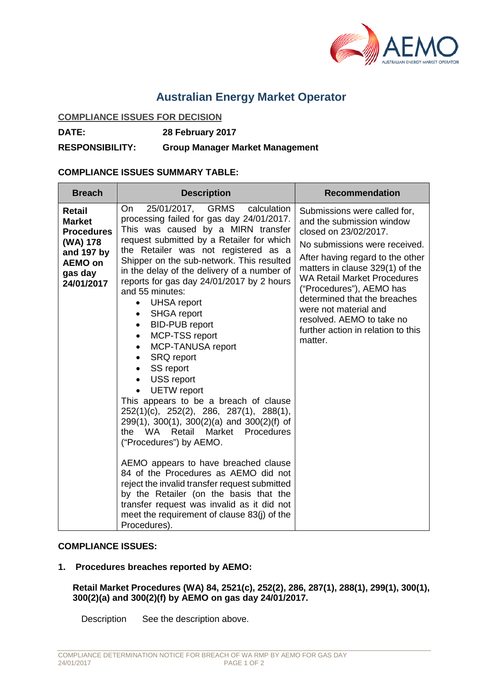

# **Australian Energy Market Operator**

#### **COMPLIANCE ISSUES FOR DECISION**

**DATE: 28 February 2017**

**RESPONSIBILITY: Group Manager Market Management**

## **COMPLIANCE ISSUES SUMMARY TABLE:**

| <b>Breach</b>                                                                                                     | <b>Description</b>                                                                                                                                                                                                                                                                                                                                                                                                                                                                                                                                                                                                                                                                                                                                                                                                                                                                                                                                                                                                                                                                                                                                                                     | <b>Recommendation</b>                                                                                                                                                                                                                                                                                                                                                                               |
|-------------------------------------------------------------------------------------------------------------------|----------------------------------------------------------------------------------------------------------------------------------------------------------------------------------------------------------------------------------------------------------------------------------------------------------------------------------------------------------------------------------------------------------------------------------------------------------------------------------------------------------------------------------------------------------------------------------------------------------------------------------------------------------------------------------------------------------------------------------------------------------------------------------------------------------------------------------------------------------------------------------------------------------------------------------------------------------------------------------------------------------------------------------------------------------------------------------------------------------------------------------------------------------------------------------------|-----------------------------------------------------------------------------------------------------------------------------------------------------------------------------------------------------------------------------------------------------------------------------------------------------------------------------------------------------------------------------------------------------|
| Retail<br><b>Market</b><br><b>Procedures</b><br>(WA) 178<br>and 197 by<br><b>AEMO on</b><br>gas day<br>24/01/2017 | calculation<br>25/01/2017, GRMS<br>On<br>processing failed for gas day 24/01/2017.<br>This was caused by a MIRN transfer<br>request submitted by a Retailer for which<br>the Retailer was not registered as a<br>Shipper on the sub-network. This resulted<br>in the delay of the delivery of a number of<br>reports for gas day 24/01/2017 by 2 hours<br>and 55 minutes:<br><b>UHSA</b> report<br>$\bullet$<br><b>SHGA</b> report<br>$\bullet$<br><b>BID-PUB</b> report<br>$\bullet$<br>MCP-TSS report<br>$\bullet$<br>MCP-TANUSA report<br>$\bullet$<br><b>SRQ</b> report<br>$\bullet$<br>SS report<br>$\bullet$<br>USS report<br>$\bullet$<br><b>UETW</b> report<br>$\bullet$<br>This appears to be a breach of clause<br>252(1)(c), 252(2), 286, 287(1), 288(1),<br>299(1), 300(1), 300(2)(a) and 300(2)(f) of<br>WA .<br>Retail<br>Market<br>Procedures<br>the<br>("Procedures") by AEMO.<br>AEMO appears to have breached clause<br>84 of the Procedures as AEMO did not<br>reject the invalid transfer request submitted<br>by the Retailer (on the basis that the<br>transfer request was invalid as it did not<br>meet the requirement of clause 83(j) of the<br>Procedures). | Submissions were called for,<br>and the submission window<br>closed on 23/02/2017.<br>No submissions were received.<br>After having regard to the other<br>matters in clause 329(1) of the<br><b>WA Retail Market Procedures</b><br>("Procedures"), AEMO has<br>determined that the breaches<br>were not material and<br>resolved. AEMO to take no<br>further action in relation to this<br>matter. |

## **COMPLIANCE ISSUES:**

## **1. Procedures breaches reported by AEMO:**

**Retail Market Procedures (WA) 84, 2521(c), 252(2), 286, 287(1), 288(1), 299(1), 300(1), 300(2)(a) and 300(2)(f) by AEMO on gas day 24/01/2017.**

Description See the description above.